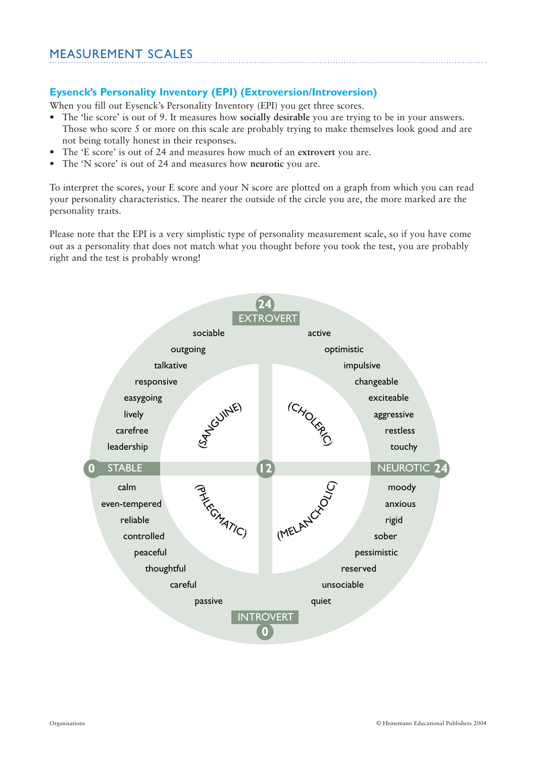### **Eysenck's Personality Inventory (EPI) (Extroversion/Introversion)**

When you fill out Eysenck's Personality Inventory (EPI) you get three scores.

- The 'lie score' is out of 9. It measures how **socially desirable** you are trying to be in your answers. Those who score 5 or more on this scale are probably trying to make themselves look good and are not being totally honest in their responses.
- The 'E score' is out of 24 and measures how much of an **extrovert** you are.
- The 'N score' is out of 24 and measures how **neurotic** you are.

To interpret the scores, your E score and your N score are plotted on a graph from which you can read your personality characteristics. The nearer the outside of the circle you are, the more marked are the personality traits.

Please note that the EPI is a very simplistic type of personality measurement scale, so if you have come out as a personality that does not match what you thought before you took the test, you are probably right and the test is probably wrong!

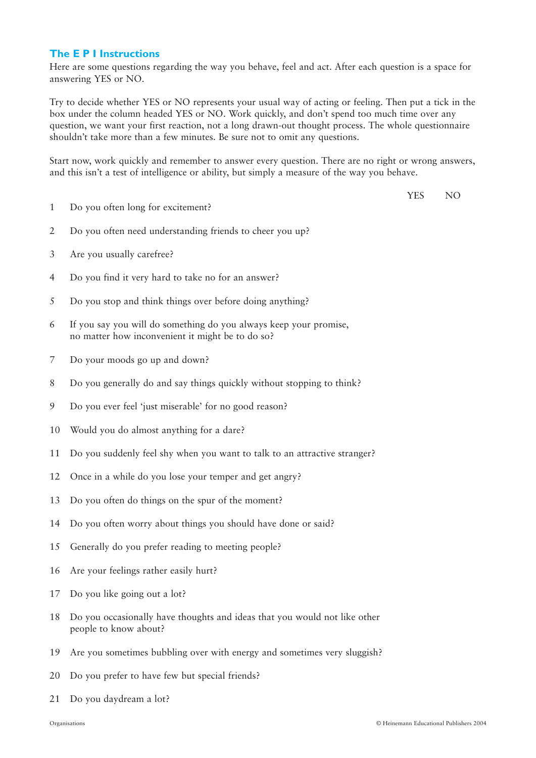### **The E P I Instructions**

Here are some questions regarding the way you behave, feel and act. After each question is a space for answering YES or NO.

Try to decide whether YES or NO represents your usual way of acting or feeling. Then put a tick in the box under the column headed YES or NO. Work quickly, and don't spend too much time over any question, we want your first reaction, not a long drawn-out thought process. The whole questionnaire shouldn't take more than a few minutes. Be sure not to omit any questions.

Start now, work quickly and remember to answer every question. There are no right or wrong answers, and this isn't a test of intelligence or ability, but simply a measure of the way you behave.

YES NO

- 1 Do you often long for excitement?
- 2 Do you often need understanding friends to cheer you up?
- 3 Are you usually carefree?
- 4 Do you find it very hard to take no for an answer?
- 5 Do you stop and think things over before doing anything?
- 6 If you say you will do something do you always keep your promise, no matter how inconvenient it might be to do so?
- 7 Do your moods go up and down?
- 8 Do you generally do and say things quickly without stopping to think?
- 9 Do you ever feel 'just miserable' for no good reason?
- 10 Would you do almost anything for a dare?
- 11 Do you suddenly feel shy when you want to talk to an attractive stranger?
- 12 Once in a while do you lose your temper and get angry?
- 13 Do you often do things on the spur of the moment?
- 14 Do you often worry about things you should have done or said?
- 15 Generally do you prefer reading to meeting people?
- 16 Are your feelings rather easily hurt?
- 17 Do you like going out a lot?
- 18 Do you occasionally have thoughts and ideas that you would not like other people to know about?
- 19 Are you sometimes bubbling over with energy and sometimes very sluggish?
- 20 Do you prefer to have few but special friends?
- 21 Do you daydream a lot?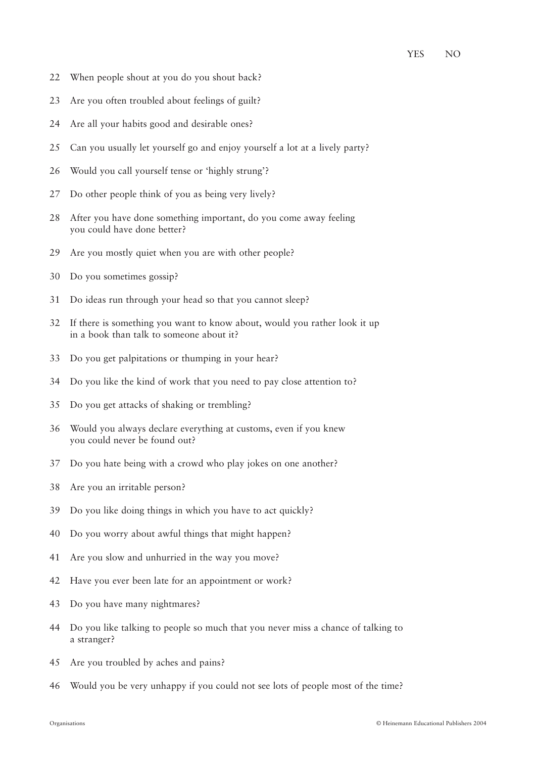- 22 When people shout at you do you shout back?
- 23 Are you often troubled about feelings of guilt?
- 24 Are all your habits good and desirable ones?
- 25 Can you usually let yourself go and enjoy yourself a lot at a lively party?
- 26 Would you call yourself tense or 'highly strung'?
- 27 Do other people think of you as being very lively?
- 28 After you have done something important, do you come away feeling you could have done better?
- 29 Are you mostly quiet when you are with other people?
- 30 Do you sometimes gossip?
- 31 Do ideas run through your head so that you cannot sleep?
- 32 If there is something you want to know about, would you rather look it up in a book than talk to someone about it?
- 33 Do you get palpitations or thumping in your hear?
- 34 Do you like the kind of work that you need to pay close attention to?
- 35 Do you get attacks of shaking or trembling?
- 36 Would you always declare everything at customs, even if you knew you could never be found out?
- 37 Do you hate being with a crowd who play jokes on one another?
- 38 Are you an irritable person?
- 39 Do you like doing things in which you have to act quickly?
- 40 Do you worry about awful things that might happen?
- 41 Are you slow and unhurried in the way you move?
- 42 Have you ever been late for an appointment or work?
- 43 Do you have many nightmares?
- 44 Do you like talking to people so much that you never miss a chance of talking to a stranger?
- 45 Are you troubled by aches and pains?
- 46 Would you be very unhappy if you could not see lots of people most of the time?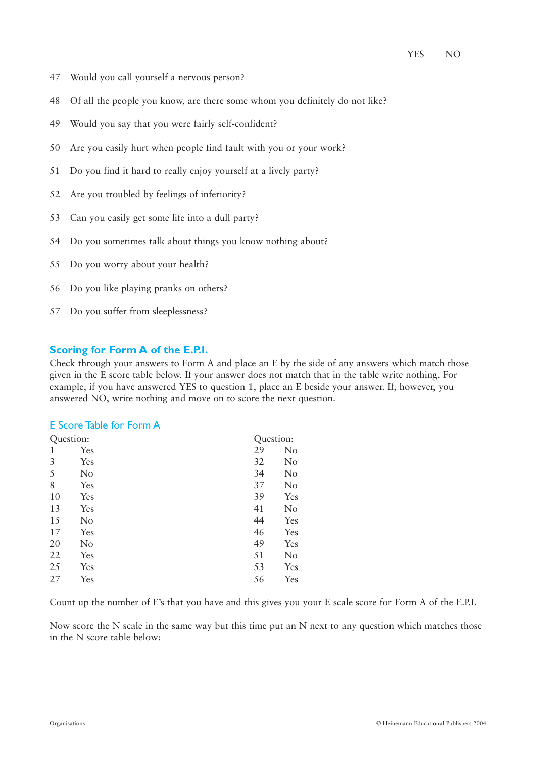- 47 Would you call yourself a nervous person?
- 48 Of all the people you know, are there some whom you definitely do not like?
- 49 Would you say that you were fairly self-confident?
- 50 Are you easily hurt when people find fault with you or your work?
- 51 Do you find it hard to really enjoy yourself at a lively party?
- 52 Are you troubled by feelings of inferiority?
- 53 Can you easily get some life into a dull party?
- 54 Do you sometimes talk about things you know nothing about?
- 55 Do you worry about your health?
- 56 Do you like playing pranks on others?
- 57 Do you suffer from sleeplessness?

### **Scoring for Form A of the E.P.I.**

Check through your answers to Form A and place an E by the side of any answers which match those given in the E score table below. If your answer does not match that in the table write nothing. For example, if you have answered YES to question 1, place an E beside your answer. If, however, you answered NO, write nothing and move on to score the next question.

#### E Score Table for Form A

| Question: |          |    | Question: |  |
|-----------|----------|----|-----------|--|
| 1         | Yes      | 29 | No        |  |
| 3         | Yes      | 32 | No        |  |
| 5         | No       | 34 | No        |  |
| 8         | Yes      | 37 | No        |  |
| 10        | Yes      | 39 | Yes       |  |
| 13        | Yes      | 41 | No        |  |
| 15        | No       | 44 | Yes       |  |
| 17        | Yes      | 46 | Yes       |  |
| 20        | $\rm No$ | 49 | Yes       |  |
| 22        | Yes      | 51 | No        |  |
| 25        | Yes      | 53 | Yes       |  |
| 27        | Yes      | 56 | Yes       |  |

Count up the number of E's that you have and this gives you your E scale score for Form A of the E.P.I.

Now score the N scale in the same way but this time put an N next to any question which matches those in the N score table below: